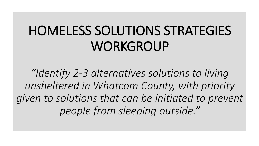# HOMELESS SOLUTIONS STRATEGIES **WORKGROUP**

*"Identify 2-3 alternatives solutions to living unsheltered in Whatcom County, with priority given to solutions that can be initiated to prevent people from sleeping outside."*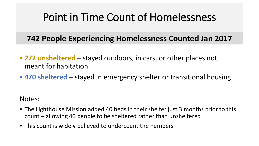# Point in Time Count of Homelessness

### **742 People Experiencing Homelessness Counted Jan 2017**

- **272 unsheltered**  stayed outdoors, in cars, or other places not meant for habitation
- **470 sheltered**  stayed in emergency shelter or transitional housing

Notes:

- The Lighthouse Mission added 40 beds in their shelter just 3 months prior to this count – allowing 40 people to be sheltered rather than unsheltered
- This count is widely believed to undercount the numbers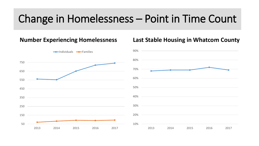# Change in Homelessness – Point in Time Count

#### 50 150 250 350 450 550 650 750 2013 2014 2015 2016 2017 **Individuals -**Families 10% 20% 30% 40% 50% 60% 70% 80%

**Number Experiencing Homelessness**

#### **Last Stable Housing in Whatcom County**

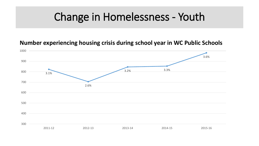## Change in Homelessness - Youth

#### **Number experiencing housing crisis during school year in WC Public Schools**

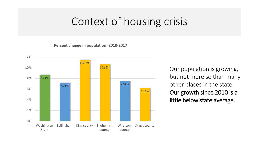### Context of housing crisis

**Percent change in population: 2010-2017**



Our population is growing, but not more so than many other places in the state. Our growth since 2010 is a little below state average.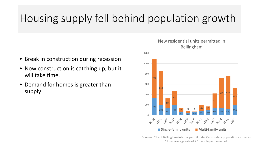# Housing supply fell behind population growth

- Break in construction during recession
- Now construction is catching up, but it will take time.
- Demand for homes is greater than supply

#### New residential units permitted in Bellingham



Sources: City of Bellingham internal permit data; Census data population estimates. \* Uses average rate of 2.1 people per household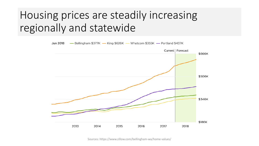# Housing prices are steadily increasing regionally and statewide



Sources: https://www.zillow.com/bellingham-wa/home-values/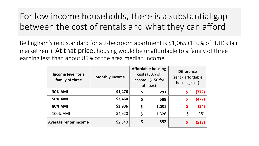### For low income households, there is a substantial gap between the cost of rentals and what they can afford

Bellingham's rent standard for a 2-bedroom apartment is \$1,065 (110% of HUD's fair market rent). At that price, housing would be unaffordable to a family of three earning less than about 85% of the area median income.

| Income level for a<br>family of three | <b>Monthly income</b> | <b>Affordable housing</b><br>costs (30% of<br>income - \$150 for<br>utilities) |       | <b>Difference</b><br>(rent - affordable<br>housing cost) |       |
|---------------------------------------|-----------------------|--------------------------------------------------------------------------------|-------|----------------------------------------------------------|-------|
| <b>30% AMI</b>                        | \$1,476               | Ş                                                                              | 293   |                                                          | (772) |
| <b>50% AMI</b>                        | \$2,460               | \$                                                                             | 588   | \$                                                       | (477) |
| <b>80% AMI</b>                        | \$3,936               | \$                                                                             | 1,031 | \$                                                       | (34)  |
| 100% AMI                              | \$4,920               | \$                                                                             | 1,326 | \$                                                       | 261   |
| Average renter income                 | \$2,340               | Ś                                                                              | 552   |                                                          | (513) |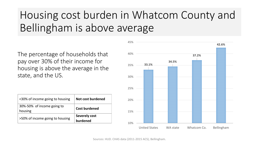# Housing cost burden in Whatcom County and Bellingham is above average

The percentage of households that pay over 30% of their income for housing is above the average in the state, and the US.

| <30% of income going to housing       | Not cost burdened         |  |  |
|---------------------------------------|---------------------------|--|--|
| 30%-50% of income going to<br>housing | <b>Cost burdened</b>      |  |  |
| >50% of income going to housing       | Severely cost<br>burdened |  |  |

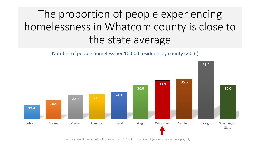# The proportion of people experiencing homelessness in Whatcom county is close to the state average

#### Number of people homeless per 10,000 residents by county (2016)



Sources: WA Department of Commerce: 2016 Point in Time Count (www.commerce.wa.gov/pit)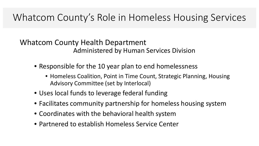### Whatcom County's Role in Homeless Housing Services

### Whatcom County Health Department Administered by Human Services Division

- Responsible for the 10 year plan to end homelessness
	- Homeless Coalition, Point in Time Count, Strategic Planning, Housing Advisory Committee (set by Interlocal)
- Uses local funds to leverage federal funding
- Facilitates community partnership for homeless housing system
- Coordinates with the behavioral health system
- Partnered to establish Homeless Service Center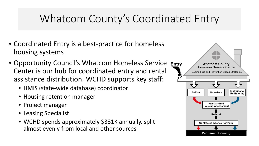# Whatcom County's Coordinated Entry

- Coordinated Entry is a best-practice for homeless housing systems
- Opportunity Council's Whatcom Homeless Service Entry Center is our hub for coordinated entry and rental assistance distribution. WCHD supports key staff:
	- HMIS (state-wide database) coordinator
	- Housing retention manager
	- Project manager
	- Leasing Specialist
	- WCHD spends approximately \$331K annually, split almost evenly from local and other sources

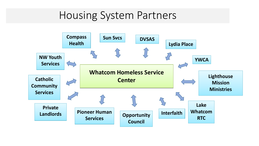### Housing System Partners

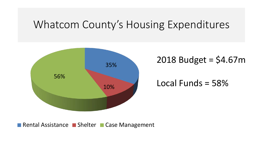### Whatcom County's Housing Expenditures



2018 Budget = \$4.67m

Local Funds = 58%

Rental Assistance Bishelter Case Management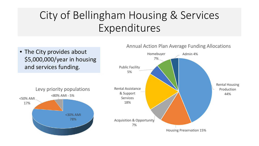# City of Bellingham Housing & Services Expenditures

• The City provides about \$5,000,000/year in housing and services funding.



#### Annual Action Plan Average Funding Allocations

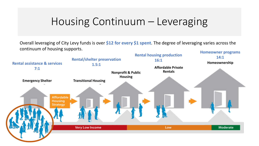## Housing Continuum – Leveraging

Overall leveraging of City Levy funds is over **\$12 for every \$1 spent**. The degree of leveraging varies across the continuum of housing supports.

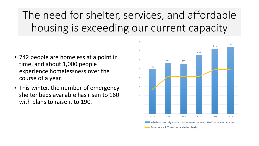The need for shelter, services, and affordable housing is exceeding our current capacity

- 742 people are homeless at a point in time, and about 1,000 people experience homelessness over the course of a year.
- This winter, the number of emergency shelter beds available has risen to 160 with plans to raise it to 190.